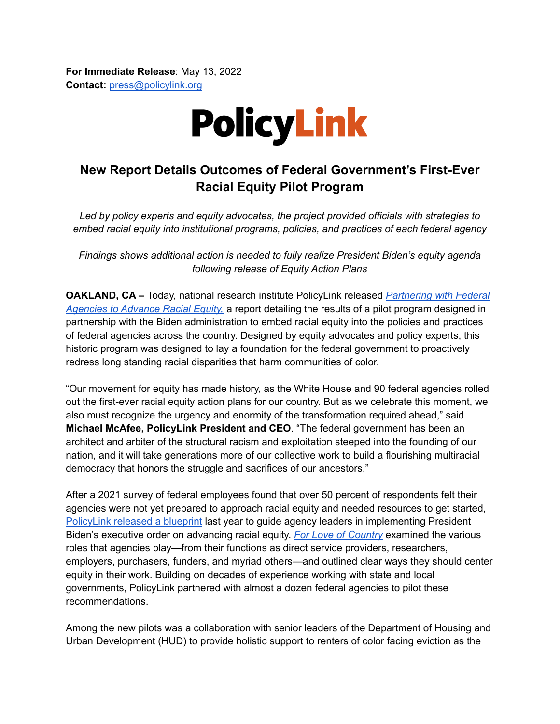**For Immediate Release**: May 13, 2022 **Contact:** [press@policylink.org](mailto:press@policylink.org)



## **New Report Details Outcomes of Federal Government's First-Ever Racial Equity Pilot Program**

*Led by policy experts and equity advocates, the project provided officials with strategies to embed racial equity into institutional programs, policies, and practices of each federal agency*

*Findings shows additional action is needed to fully realize President Biden's equity agenda following release of Equity Action Plans*

**OAKLAND, CA –** Today, national research institute PolicyLink released *[Partnering](https://www.policylink.org/resources-tools/partnering-with-federal-agencies) with Federal [Agencies](https://www.policylink.org/resources-tools/partnering-with-federal-agencies) to Advance Racial Equity,* a report detailing the results of a pilot program designed in partnership with the Biden administration to embed racial equity into the policies and practices of federal agencies across the country. Designed by equity advocates and policy experts, this historic program was designed to lay a foundation for the federal government to proactively redress long standing racial disparities that harm communities of color.

"Our movement for equity has made history, as the White House and 90 federal agencies rolled out the first-ever racial equity action plans for our country. But as we celebrate this moment, we also must recognize the urgency and enormity of the transformation required ahead," said **Michael McAfee, PolicyLink President and CEO**. "The federal government has been an architect and arbiter of the structural racism and exploitation steeped into the founding of our nation, and it will take generations more of our collective work to build a flourishing multiracial democracy that honors the struggle and sacrifices of our ancestors."

After a 2021 survey of federal employees found that over 50 percent of respondents felt their agencies were not yet prepared to approach racial equity and needed resources to get started, [PolicyLink](https://www.policylink.org/sites/default/files/PolicyLink_%20For%20Love%20of%20Country%20press%20release%207.20.pdf) released a blueprint last year to guide agency leaders in implementing President Biden's executive order on advancing racial equity. *For Love of [Country](https://www.policylink.org/resources-tools/for_the_love_of_country)* examined the various roles that agencies play—from their functions as direct service providers, researchers, employers, purchasers, funders, and myriad others—and outlined clear ways they should center equity in their work. Building on decades of experience working with state and local governments, PolicyLink partnered with almost a dozen federal agencies to pilot these recommendations.

Among the new pilots was a collaboration with senior leaders of the Department of Housing and Urban Development (HUD) to provide holistic support to renters of color facing eviction as the